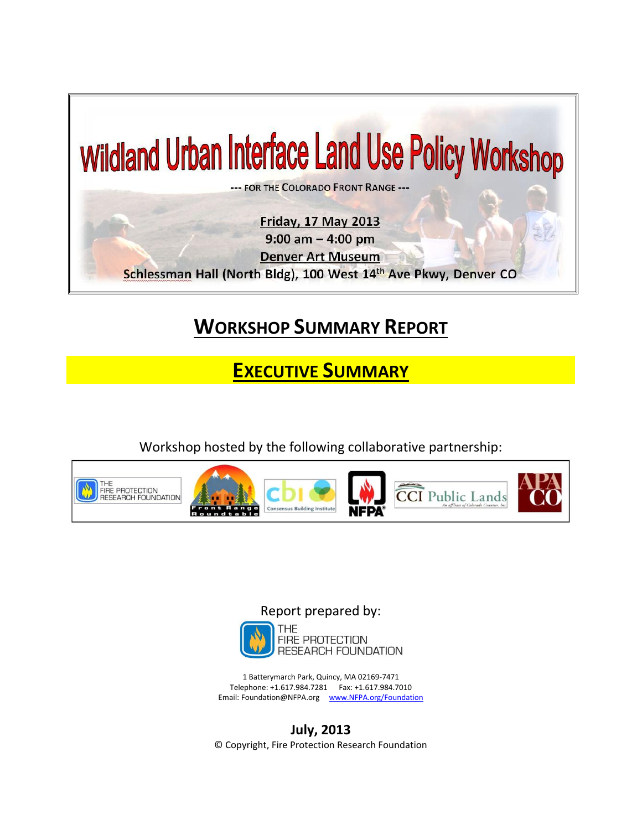

## **WORKSHOP SUMMARY REPORT**

**EXECUTIVE SUMMARY**

Workshop hosted by the following collaborative partnership:





1 Batterymarch Park, Quincy, MA 02169-7471 Telephone: +1.617.984.7281 Fax: +1.617.984.7010 Email: Foundation@NFPA.org [www.NFPA.org/Foundation](http://www.nfpa.org/Foundation)

**July, 2013** © Copyright, Fire Protection Research Foundation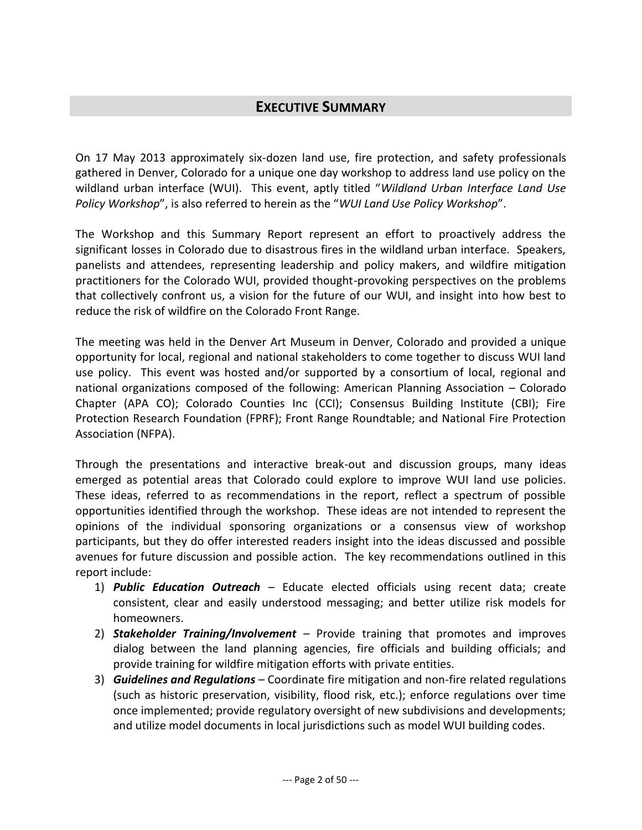## **EXECUTIVE SUMMARY**

On 17 May 2013 approximately six-dozen land use, fire protection, and safety professionals gathered in Denver, Colorado for a unique one day workshop to address land use policy on the wildland urban interface (WUI). This event, aptly titled "*Wildland Urban Interface Land Use Policy Workshop*", is also referred to herein as the "*WUI Land Use Policy Workshop*".

The Workshop and this Summary Report represent an effort to proactively address the significant losses in Colorado due to disastrous fires in the wildland urban interface. Speakers, panelists and attendees, representing leadership and policy makers, and wildfire mitigation practitioners for the Colorado WUI, provided thought-provoking perspectives on the problems that collectively confront us, a vision for the future of our WUI, and insight into how best to reduce the risk of wildfire on the Colorado Front Range.

The meeting was held in the Denver Art Museum in Denver, Colorado and provided a unique opportunity for local, regional and national stakeholders to come together to discuss WUI land use policy. This event was hosted and/or supported by a consortium of local, regional and national organizations composed of the following: American Planning Association – Colorado Chapter (APA CO); Colorado Counties Inc (CCI); Consensus Building Institute (CBI); Fire Protection Research Foundation (FPRF); Front Range Roundtable; and National Fire Protection Association (NFPA).

Through the presentations and interactive break-out and discussion groups, many ideas emerged as potential areas that Colorado could explore to improve WUI land use policies. These ideas, referred to as recommendations in the report, reflect a spectrum of possible opportunities identified through the workshop. These ideas are not intended to represent the opinions of the individual sponsoring organizations or a consensus view of workshop participants, but they do offer interested readers insight into the ideas discussed and possible avenues for future discussion and possible action. The key recommendations outlined in this report include:

- 1) *Public Education Outreach* Educate elected officials using recent data; create consistent, clear and easily understood messaging; and better utilize risk models for homeowners.
- 2) *Stakeholder Training/Involvement* Provide training that promotes and improves dialog between the land planning agencies, fire officials and building officials; and provide training for wildfire mitigation efforts with private entities.
- 3) *Guidelines and Regulations* Coordinate fire mitigation and non-fire related regulations (such as historic preservation, visibility, flood risk, etc.); enforce regulations over time once implemented; provide regulatory oversight of new subdivisions and developments; and utilize model documents in local jurisdictions such as model WUI building codes.